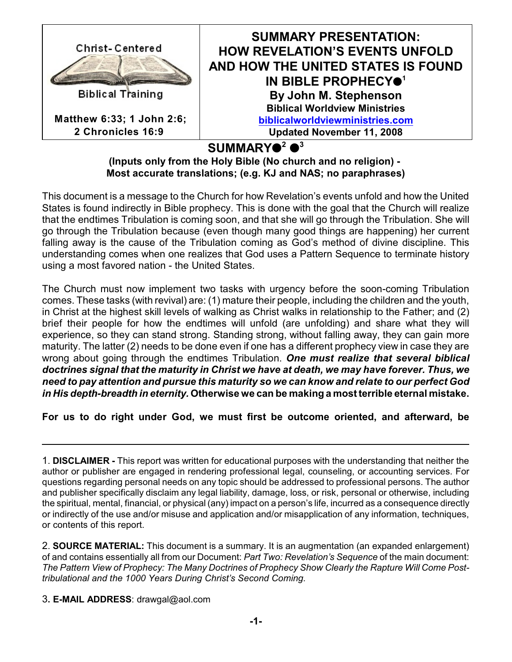

SUMMARY●<sup>2</sup> ●<sup>3</sup>

**(Inputs only from the Holy Bible (No church and no religion) - Most accurate translations; (e.g. KJ and NAS; no paraphrases)**

This document is a message to the Church for how Revelation's events unfold and how the United States is found indirectly in Bible prophecy. This is done with the goal that the Church will realize that the endtimes Tribulation is coming soon, and that she will go through the Tribulation. She will go through the Tribulation because (even though many good things are happening) her current falling away is the cause of the Tribulation coming as God's method of divine discipline. This understanding comes when one realizes that God uses a Pattern Sequence to terminate history using a most favored nation - the United States.

The Church must now implement two tasks with urgency before the soon-coming Tribulation comes. These tasks (with revival) are: (1) mature their people, including the children and the youth, in Christ at the highest skill levels of walking as Christ walks in relationship to the Father; and (2) brief their people for how the endtimes will unfold (are unfolding) and share what they will experience, so they can stand strong. Standing strong, without falling away, they can gain more maturity. The latter (2) needs to be done even if one has a different prophecy view in case they are wrong about going through the endtimes Tribulation. *One must realize that several biblical doctrines signal that the maturity in Christ we have at death, we may have forever. Thus, we need to pay attention and pursue this maturity so we can know and relate to our perfect God in His depth-breadth in eternity.* **Otherwise we can be making a most terrible eternal mistake.**

**For us to do right under God, we must first be outcome oriented, and afterward, be**

2. **SOURCE MATERIAL:** This document is a summary. It is an augmentation (an expanded enlargement) of and contains essentially all from our Document: *Part Two: Revelation's Sequence* of the main document: *The Pattern View of Prophecy: The Many Doctrines of Prophecy Show Clearly the Rapture Will Come Posttribulational and the 1000 Years During Christ's Second Coming.*

3**. E-MAIL ADDRESS**: drawgal@aol.com

<sup>1</sup>. **DISCLAIMER -** This report was written for educational purposes with the understanding that neither the author or publisher are engaged in rendering professional legal, counseling, or accounting services. For questions regarding personal needs on any topic should be addressed to professional persons. The author and publisher specifically disclaim any legal liability, damage, loss, or risk, personal or otherwise, including the spiritual, mental, financial, or physical (any) impact on a person's life, incurred as a consequence directly or indirectly of the use and/or misuse and application and/or misapplication of any information, techniques, or contents of this report.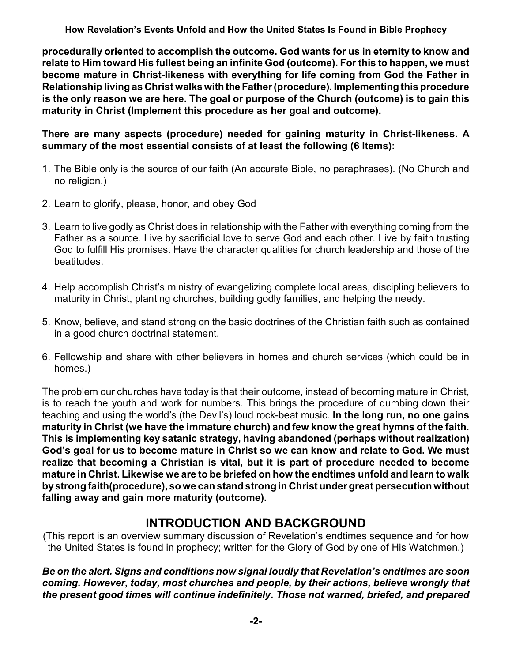**procedurally oriented to accomplish the outcome. God wants for us in eternity to know and relate to Him toward His fullest being an infinite God (outcome). For this to happen, we must become mature in Christ-likeness with everything for life coming from God the Father in Relationship living as Christ walks withthe Father (procedure). Implementing this procedure is the only reason we are here. The goal or purpose of the Church (outcome) is to gain this maturity in Christ (Implement this procedure as her goal and outcome).**

**There are many aspects (procedure) needed for gaining maturity in Christ-likeness. A summary of the most essential consists of at least the following (6 Items):** 

- 1. The Bible only is the source of our faith (An accurate Bible, no paraphrases). (No Church and no religion.)
- 2. Learn to glorify, please, honor, and obey God
- 3. Learn to live godly as Christ does in relationship with the Father with everything coming from the Father as a source. Live by sacrificial love to serve God and each other. Live by faith trusting God to fulfill His promises. Have the character qualities for church leadership and those of the beatitudes.
- 4. Help accomplish Christ's ministry of evangelizing complete local areas, discipling believers to maturity in Christ, planting churches, building godly families, and helping the needy.
- 5. Know, believe, and stand strong on the basic doctrines of the Christian faith such as contained in a good church doctrinal statement.
- 6. Fellowship and share with other believers in homes and church services (which could be in homes.)

The problem our churches have today is that their outcome, instead of becoming mature in Christ, is to reach the youth and work for numbers. This brings the procedure of dumbing down their teaching and using the world's (the Devil's) loud rock-beat music. **In the long run, no one gains maturity in Christ (we have the immature church) and few know the great hymns of the faith. This is implementing key satanic strategy, having abandoned (perhaps without realization) God's goal for us to become mature in Christ so we can know and relate to God. We must realize that becoming a Christian is vital, but it is part of procedure needed to become mature in Christ. Likewise we are to be briefed on how the endtimes unfold and learn to walk bystrong faith(procedure), so we can stand strong in Christ under great persecution without falling away and gain more maturity (outcome).**

## **INTRODUCTION AND BACKGROUND**

(This report is an overview summary discussion of Revelation's endtimes sequence and for how the United States is found in prophecy; written for the Glory of God by one of His Watchmen.)

*Be on the alert. Signs and conditions now signal loudly that Revelation's endtimes are soon coming. However, today, most churches and people, by their actions, believe wrongly that the present good times will continue indefinitely. Those not warned, briefed, and prepared*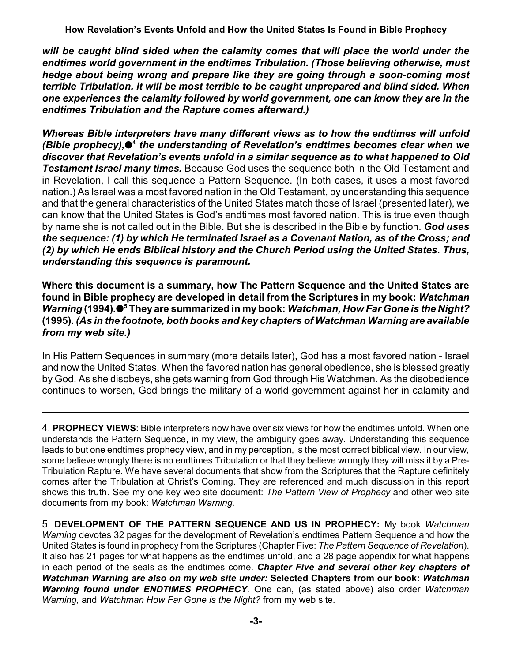*will be caught blind sided when the calamity comes that will place the world under the endtimes world government in the endtimes Tribulation. (Those believing otherwise, must hedge about being wrong and prepare like they are going through a soon-coming most terrible Tribulation. It will be most terrible to be caught unprepared and blind sided. When one experiences the calamity followed by world government, one can know they are in the endtimes Tribulation and the Rapture comes afterward.)*

*Whereas Bible interpreters have many different views as to how the endtimes will unfold (Bible prophecy), the understanding of Revelation's endtimes becomes clear when we* **<sup>4</sup>** *discover that Revelation's events unfold in a similar sequence as to what happened to Old Testament Israel many times.* Because God uses the sequence both in the Old Testament and in Revelation, I call this sequence a Pattern Sequence. (In both cases, it uses a most favored nation.) As Israel was a most favored nation in the Old Testament, by understanding this sequence and that the general characteristics of the United States match those of Israel (presented later), we can know that the United States is God's endtimes most favored nation. This is true even though by name she is not called out in the Bible. But she is described in the Bible by function. *God uses the sequence: (1) by which He terminated Israel as a Covenant Nation, as of the Cross; and (2) by which He ends Biblical history and the Church Period using the United States. Thus, understanding this sequence is paramount.*

**Where this document is a summary, how The Pattern Sequence and the United States are found in Bible prophecy are developed in detail from the Scriptures in my book:** *Watchman Warning* **(1994)***.* **They are summarized in my book:** *Watchman, How Far Gone is the Night?* **<sup>5</sup> (1995).** *(As in the footnote, both books and key chapters of Watchman Warning are available from my web site.)*

In His Pattern Sequences in summary (more details later), God has a most favored nation - Israel and now the United States. When the favored nation has general obedience, she is blessed greatly by God. As she disobeys, she gets warning from God through His Watchmen. As the disobedience continues to worsen, God brings the military of a world government against her in calamity and

4. **PROPHECY VIEWS**: Bible interpreters now have over six views for how the endtimes unfold. When one understands the Pattern Sequence, in my view, the ambiguity goes away. Understanding this sequence leads to but one endtimes prophecy view, and in my perception, is the most correct biblical view. In our view, some believe wrongly there is no endtimes Tribulation or that they believe wrongly they will miss it by a Pre-Tribulation Rapture. We have several documents that show from the Scriptures that the Rapture definitely comes after the Tribulation at Christ's Coming. They are referenced and much discussion in this report shows this truth. See my one key web site document: *The Pattern View of Prophecy* and other web site documents from my book: *Watchman Warning.*

5. **DEVELOPMENT OF THE PATTERN SEQUENCE AND US IN PROPHECY:** My book *Watchman Warning* devotes 32 pages for the development of Revelation's endtimes Pattern Sequence and how the United States is found in prophecy from the Scriptures (Chapter Five: *The Pattern Sequence of Revelation*). It also has 21 pages for what happens as the endtimes unfold, and a 28 page appendix for what happens in each period of the seals as the endtimes come. *Chapter Five and several other key chapters of Watchman Warning are also on my web site under:* **Selected Chapters from our book:** *Watchman Warning found under ENDTIMES PROPHECY*. One can, (as stated above) also order *Watchman Warning,* and *Watchman How Far Gone is the Night?* from my web site.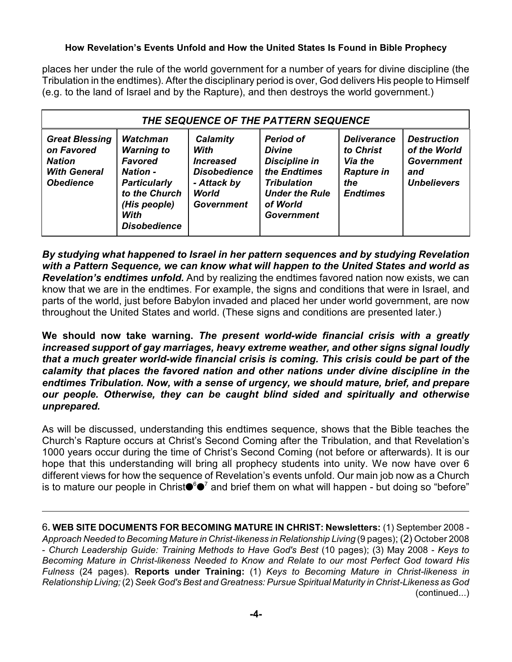places her under the rule of the world government for a number of years for divine discipline (the Tribulation in the endtimes). After the disciplinary period is over, God delivers His people to Himself (e.g. to the land of Israel and by the Rapture), and then destroys the world government.)

| THE SEQUENCE OF THE PATTERN SEQUENCE                                                            |                                                                                                                                                           |                                                                                                          |                                                                                                                                                           |                                                                                           |                                                                                      |
|-------------------------------------------------------------------------------------------------|-----------------------------------------------------------------------------------------------------------------------------------------------------------|----------------------------------------------------------------------------------------------------------|-----------------------------------------------------------------------------------------------------------------------------------------------------------|-------------------------------------------------------------------------------------------|--------------------------------------------------------------------------------------|
| <b>Great Blessing</b><br>on Favored<br><b>Nation</b><br><b>With General</b><br><b>Obedience</b> | <b>Watchman</b><br><b>Warning to</b><br>Favored<br><b>Nation -</b><br><b>Particularly</b><br>to the Church<br>(His people)<br>With<br><b>Disobedience</b> | Calamity<br>With<br><b>Increased</b><br><b>Disobedience</b><br>- Attack by<br>World<br><b>Government</b> | <b>Period of</b><br><b>Divine</b><br><b>Discipline in</b><br>the Endtimes<br><b>Tribulation</b><br><b>Under the Rule</b><br>of World<br><b>Government</b> | <b>Deliverance</b><br>to Christ<br>Via the<br><b>Rapture in</b><br>the<br><b>Endtimes</b> | <b>Destruction</b><br>of the World<br><b>Government</b><br>and<br><b>Unbelievers</b> |

*By studying what happened to Israel in her pattern sequences and by studying Revelation with a Pattern Sequence, we can know what will happen to the United States and world as Revelation's endtimes unfold.* And by realizing the endtimes favored nation now exists, we can know that we are in the endtimes. For example, the signs and conditions that were in Israel, and parts of the world, just before Babylon invaded and placed her under world government, are now throughout the United States and world. (These signs and conditions are presented later.)

**We should now take warning.** *The present world-wide financial crisis with a greatly increased support of gay marriages, heavy extreme weather, and other signs signal loudly that a much greater world-wide financial crisis is coming. This crisis could be part of the calamity that places the favored nation and other nations under divine discipline in the endtimes Tribulation. Now, with a sense of urgency, we should mature, brief, and prepare our people. Otherwise, they can be caught blind sided and spiritually and otherwise unprepared.*

As will be discussed, understanding this endtimes sequence, shows that the Bible teaches the Church's Rapture occurs at Christ's Second Coming after the Tribulation, and that Revelation's 1000 years occur during the time of Christ's Second Coming (not before or afterwards). It is our hope that this understanding will bring all prophecy students into unity. We now have over 6 different views for how the sequence of Revelation's events unfold. Our main job now as a Church is to mature our people in Christ $\bullet^{\circ}$  and brief them on what will happen - but doing so "before"

6**. WEB SITE DOCUMENTS FOR BECOMING MATURE IN CHRIST: Newsletters:** (1) September 2008 *- Approach Needed to Becoming Mature in Christ-likeness in Relationship Living* (9 pages); (2) October 2008 - *Church Leadership Guide: Training Methods to Have God's Best* (10 pages); (3) May 2008 - *Keys to Becoming Mature in Christ-likeness Needed to Know and Relate to our most Perfect God toward His Fulness* (24 pages)*.* **Reports under Training:** (1) *Keys to Becoming Mature in Christ-likeness in Relationship Living;*(2) *Seek God's Best and Greatness: Pursue Spiritual Maturity in Christ-Likeness as God* (continued...)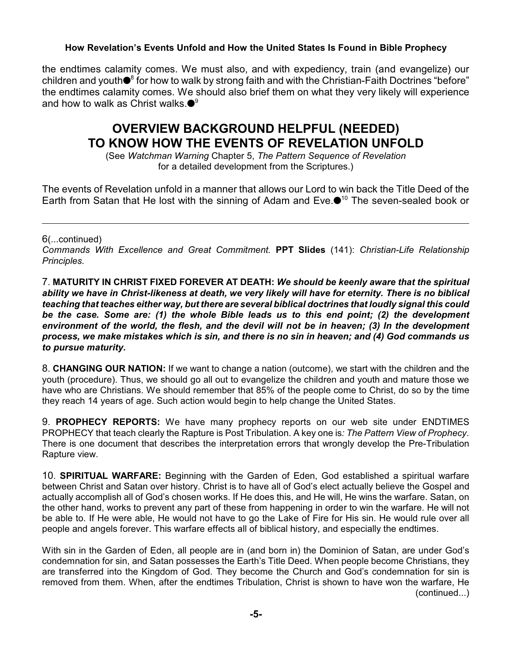the endtimes calamity comes. We must also, and with expediency, train (and evangelize) our children and youth  $\bullet$ <sup>8</sup> for how to walk by strong faith and with the Christian-Faith Doctrines "before" the endtimes calamity comes. We should also brief them on what they very likely will experience and how to walk as Christ walks. $\bullet^{\mathsf{9}}$ 

# **OVERVIEW BACKGROUND HELPFUL (NEEDED) TO KNOW HOW THE EVENTS OF REVELATION UNFOLD**

(See *Watchman Warning* Chapter 5, *The Pattern Sequence of Revelation* for a detailed development from the Scriptures.)

The events of Revelation unfold in a manner that allows our Lord to win back the Title Deed of the Earth from Satan that He lost with the sinning of Adam and Eve. $\bullet$ <sup>10</sup> The seven-sealed book or

6(...continued)

*Commands With Excellence and Great Commitment.* **PPT Slides** (141): *Christian-Life Relationship Principles.*

7. **MATURITY IN CHRIST FIXED FOREVER AT DEATH:** *We should be keenly aware that the spiritual ability we have in Christ-likeness at death, we very likely will have for eternity. There is no biblical teaching that teaches either way, but there are several biblical doctrines that loudly signal this could be the case. Some are: (1) the whole Bible leads us to this end point; (2) the development environment of the world, the flesh, and the devil will not be in heaven; (3) In the development process, we make mistakes which is sin, and there is no sin in heaven; and (4) God commands us to pursue maturity.*

8. **CHANGING OUR NATION:** If we want to change a nation (outcome), we start with the children and the youth (procedure). Thus, we should go all out to evangelize the children and youth and mature those we have who are Christians. We should remember that 85% of the people come to Christ, do so by the time they reach 14 years of age. Such action would begin to help change the United States.

9. **PROPHECY REPORTS:** We have many prophecy reports on our web site under ENDTIMES PROPHECY that teach clearly the Rapture is Post Tribulation. A key one is*: The Pattern View of Prophecy*. There is one document that describes the interpretation errors that wrongly develop the Pre-Tribulation Rapture view.

10. **SPIRITUAL WARFARE:** Beginning with the Garden of Eden, God established a spiritual warfare between Christ and Satan over history. Christ is to have all of God's elect actually believe the Gospel and actually accomplish all of God's chosen works. If He does this, and He will, He wins the warfare. Satan, on the other hand, works to prevent any part of these from happening in order to win the warfare. He will not be able to. If He were able, He would not have to go the Lake of Fire for His sin. He would rule over all people and angels forever. This warfare effects all of biblical history, and especially the endtimes.

With sin in the Garden of Eden, all people are in (and born in) the Dominion of Satan, are under God's condemnation for sin, and Satan possesses the Earth's Title Deed. When people become Christians, they are transferred into the Kingdom of God. They become the Church and God's condemnation for sin is removed from them. When, after the endtimes Tribulation, Christ is shown to have won the warfare, He (continued...)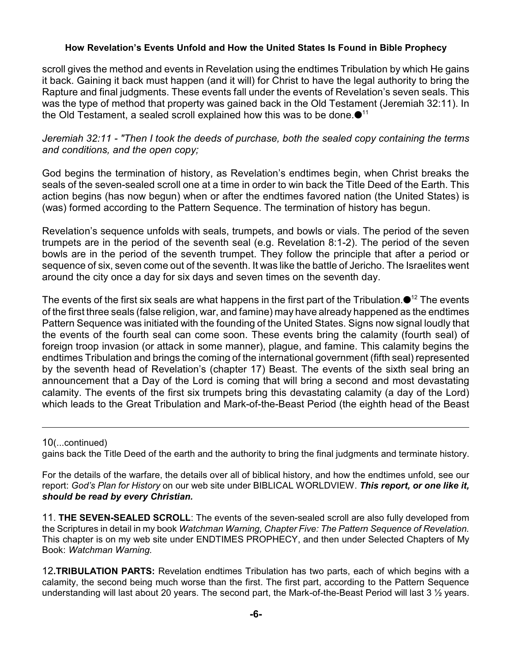scroll gives the method and events in Revelation using the endtimes Tribulation by which He gains it back. Gaining it back must happen (and it will) for Christ to have the legal authority to bring the Rapture and final judgments. These events fall under the events of Revelation's seven seals. This was the type of method that property was gained back in the Old Testament (Jeremiah 32:11). In the Old Testament, a sealed scroll explained how this was to be done. $\bullet$ <sup>11</sup>

*Jeremiah 32:11 - "Then I took the deeds of purchase, both the sealed copy containing the terms and conditions, and the open copy;*

God begins the termination of history, as Revelation's endtimes begin, when Christ breaks the seals of the seven-sealed scroll one at a time in order to win back the Title Deed of the Earth. This action begins (has now begun) when or after the endtimes favored nation (the United States) is (was) formed according to the Pattern Sequence. The termination of history has begun.

Revelation's sequence unfolds with seals, trumpets, and bowls or vials. The period of the seven trumpets are in the period of the seventh seal (e.g. Revelation 8:1-2). The period of the seven bowls are in the period of the seventh trumpet. They follow the principle that after a period or sequence of six, seven come out of the seventh. It was like the battle of Jericho. The Israelites went around the city once a day for six days and seven times on the seventh day.

The events of the first six seals are what happens in the first part of the Tribulation.  $\bullet$ <sup>12</sup> The events of the first three seals (false religion, war, and famine) may have already happened as the endtimes Pattern Sequence was initiated with the founding of the United States. Signs now signal loudly that the events of the fourth seal can come soon. These events bring the calamity (fourth seal) of foreign troop invasion (or attack in some manner), plague, and famine. This calamity begins the endtimes Tribulation and brings the coming of the international government (fifth seal) represented by the seventh head of Revelation's (chapter 17) Beast. The events of the sixth seal bring an announcement that a Day of the Lord is coming that will bring a second and most devastating calamity. The events of the first six trumpets bring this devastating calamity (a day of the Lord) which leads to the Great Tribulation and Mark-of-the-Beast Period (the eighth head of the Beast

10(...continued)

gains back the Title Deed of the earth and the authority to bring the final judgments and terminate history.

For the details of the warfare, the details over all of biblical history, and how the endtimes unfold, see our report: *God's Plan for History* on our web site under BIBLICAL WORLDVIEW. *This report, or one like it, should be read by every Christian.*

11. **THE SEVEN-SEALED SCROLL**: The events of the seven-sealed scroll are also fully developed from the Scriptures in detail in my book *Watchman Warning, Chapter Five: The Pattern Sequence of Revelation.* This chapter is on my web site under ENDTIMES PROPHECY, and then under Selected Chapters of My Book: *Watchman Warning.*

12**.TRIBULATION PARTS:** Revelation endtimes Tribulation has two parts, each of which begins with a calamity, the second being much worse than the first. The first part, according to the Pattern Sequence understanding will last about 20 years. The second part, the Mark-of-the-Beast Period will last 3 1/2 years.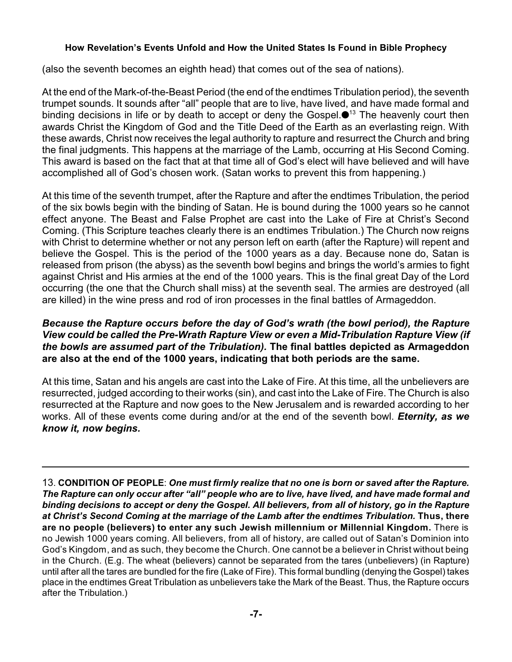(also the seventh becomes an eighth head) that comes out of the sea of nations).

At the end of the Mark-of-the-Beast Period (the end of the endtimes Tribulation period), the seventh trumpet sounds. It sounds after "all" people that are to live, have lived, and have made formal and binding decisions in life or by death to accept or deny the Gospel. $\bullet$ <sup>13</sup> The heavenly court then awards Christ the Kingdom of God and the Title Deed of the Earth as an everlasting reign. With these awards, Christ now receives the legal authority to rapture and resurrect the Church and bring the final judgments. This happens at the marriage of the Lamb, occurring at His Second Coming. This award is based on the fact that at that time all of God's elect will have believed and will have accomplished all of God's chosen work. (Satan works to prevent this from happening.)

At this time of the seventh trumpet, after the Rapture and after the endtimes Tribulation, the period of the six bowls begin with the binding of Satan. He is bound during the 1000 years so he cannot effect anyone. The Beast and False Prophet are cast into the Lake of Fire at Christ's Second Coming. (This Scripture teaches clearly there is an endtimes Tribulation.) The Church now reigns with Christ to determine whether or not any person left on earth (after the Rapture) will repent and believe the Gospel. This is the period of the 1000 years as a day. Because none do, Satan is released from prison (the abyss) as the seventh bowl begins and brings the world's armies to fight against Christ and His armies at the end of the 1000 years. This is the final great Day of the Lord occurring (the one that the Church shall miss) at the seventh seal. The armies are destroyed (all are killed) in the wine press and rod of iron processes in the final battles of Armageddon.

#### *Because the Rapture occurs before the day of God's wrath (the bowl period), the Rapture View could be called the Pre-Wrath Rapture View or even a Mid-Tribulation Rapture View (if the bowls are assumed part of the Tribulation).* **The final battles depicted as Armageddon are also at the end of the 1000 years, indicating that both periods are the same.**

At this time, Satan and his angels are cast into the Lake of Fire. At this time, all the unbelievers are resurrected, judged according to their works (sin), and cast into the Lake of Fire. The Church is also resurrected at the Rapture and now goes to the New Jerusalem and is rewarded according to her works. All of these events come during and/or at the end of the seventh bowl. *Eternity, as we know it, now begins.*

13. **CONDITION OF PEOPLE**: *One must firmly realize that no one is born or saved after the Rapture. The Rapture can only occur after "all" people who are to live, have lived, and have made formal and binding decisions to accept or deny the Gospel. All believers, from all of history, go in the Rapture at Christ's Second Coming at the marriage of the Lamb after the endtimes Tribulation.* **Thus, there are no people (believers) to enter any such Jewish millennium or Millennial Kingdom.** There is no Jewish 1000 years coming. All believers, from all of history, are called out of Satan's Dominion into God's Kingdom, and as such, they become the Church. One cannot be a believer in Christ without being in the Church. (E.g. The wheat (believers) cannot be separated from the tares (unbelievers) (in Rapture) until after all the tares are bundled for the fire (Lake of Fire). This formal bundling (denying the Gospel) takes place in the endtimes Great Tribulation as unbelievers take the Mark of the Beast. Thus, the Rapture occurs after the Tribulation.)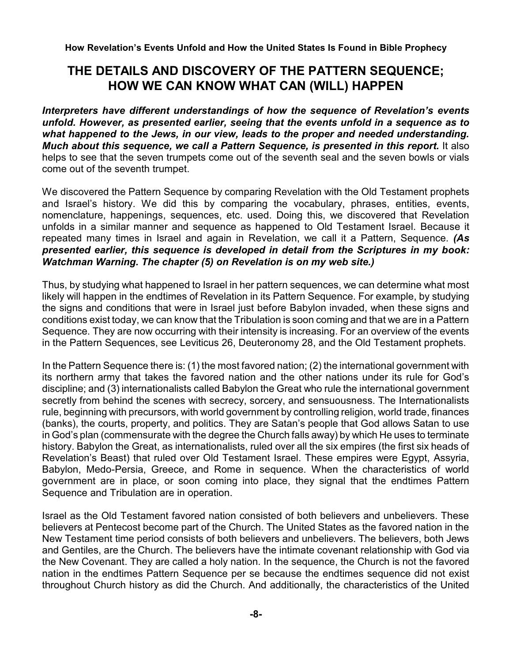## **THE DETAILS AND DISCOVERY OF THE PATTERN SEQUENCE; HOW WE CAN KNOW WHAT CAN (WILL) HAPPEN**

*Interpreters have different understandings of how the sequence of Revelation's events unfold. However, as presented earlier, seeing that the events unfold in a sequence as to what happened to the Jews, in our view, leads to the proper and needed understanding. Much about this sequence, we call a Pattern Sequence, is presented in this report.* It also helps to see that the seven trumpets come out of the seventh seal and the seven bowls or vials come out of the seventh trumpet.

We discovered the Pattern Sequence by comparing Revelation with the Old Testament prophets and Israel's history. We did this by comparing the vocabulary, phrases, entities, events, nomenclature, happenings, sequences, etc. used. Doing this, we discovered that Revelation unfolds in a similar manner and sequence as happened to Old Testament Israel. Because it repeated many times in Israel and again in Revelation, we call it a Pattern, Sequence. *(As presented earlier, this sequence is developed in detail from the Scriptures in my book: Watchman Warning. The chapter (5) on Revelation is on my web site.)*

Thus, by studying what happened to Israel in her pattern sequences, we can determine what most likely will happen in the endtimes of Revelation in its Pattern Sequence. For example, by studying the signs and conditions that were in Israel just before Babylon invaded, when these signs and conditions exist today, we can know that the Tribulation is soon coming and that we are in a Pattern Sequence. They are now occurring with their intensity is increasing. For an overview of the events in the Pattern Sequences, see Leviticus 26, Deuteronomy 28, and the Old Testament prophets.

In the Pattern Sequence there is: (1) the most favored nation; (2) the international government with its northern army that takes the favored nation and the other nations under its rule for God's discipline; and (3) internationalists called Babylon the Great who rule the international government secretly from behind the scenes with secrecy, sorcery, and sensuousness. The Internationalists rule, beginning with precursors, with world government by controlling religion, world trade, finances (banks), the courts, property, and politics. They are Satan's people that God allows Satan to use in God's plan (commensurate with the degree the Church falls away) by which He uses to terminate history. Babylon the Great, as internationalists, ruled over all the six empires (the first six heads of Revelation's Beast) that ruled over Old Testament Israel. These empires were Egypt, Assyria, Babylon, Medo-Persia, Greece, and Rome in sequence. When the characteristics of world government are in place, or soon coming into place, they signal that the endtimes Pattern Sequence and Tribulation are in operation.

Israel as the Old Testament favored nation consisted of both believers and unbelievers. These believers at Pentecost become part of the Church. The United States as the favored nation in the New Testament time period consists of both believers and unbelievers. The believers, both Jews and Gentiles, are the Church. The believers have the intimate covenant relationship with God via the New Covenant. They are called a holy nation. In the sequence, the Church is not the favored nation in the endtimes Pattern Sequence per se because the endtimes sequence did not exist throughout Church history as did the Church. And additionally, the characteristics of the United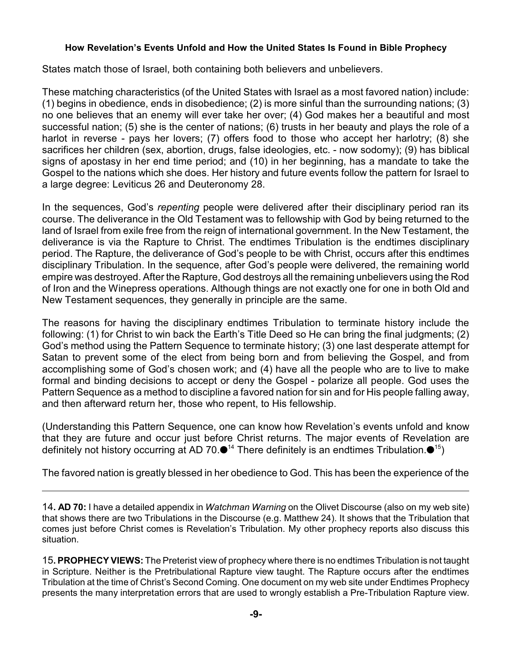States match those of Israel, both containing both believers and unbelievers.

These matching characteristics (of the United States with Israel as a most favored nation) include: (1) begins in obedience, ends in disobedience; (2) is more sinful than the surrounding nations; (3) no one believes that an enemy will ever take her over; (4) God makes her a beautiful and most successful nation; (5) she is the center of nations; (6) trusts in her beauty and plays the role of a harlot in reverse - pays her lovers; (7) offers food to those who accept her harlotry; (8) she sacrifices her children (sex, abortion, drugs, false ideologies, etc. - now sodomy); (9) has biblical signs of apostasy in her end time period; and (10) in her beginning, has a mandate to take the Gospel to the nations which she does. Her history and future events follow the pattern for Israel to a large degree: Leviticus 26 and Deuteronomy 28.

In the sequences, God's *repenting* people were delivered after their disciplinary period ran its course. The deliverance in the Old Testament was to fellowship with God by being returned to the land of Israel from exile free from the reign of international government. In the New Testament, the deliverance is via the Rapture to Christ. The endtimes Tribulation is the endtimes disciplinary period. The Rapture, the deliverance of God's people to be with Christ, occurs after this endtimes disciplinary Tribulation. In the sequence, after God's people were delivered, the remaining world empire was destroyed. After the Rapture, God destroys all the remaining unbelievers using the Rod of Iron and the Winepress operations. Although things are not exactly one for one in both Old and New Testament sequences, they generally in principle are the same.

The reasons for having the disciplinary endtimes Tribulation to terminate history include the following: (1) for Christ to win back the Earth's Title Deed so He can bring the final judgments; (2) God's method using the Pattern Sequence to terminate history; (3) one last desperate attempt for Satan to prevent some of the elect from being born and from believing the Gospel, and from accomplishing some of God's chosen work; and (4) have all the people who are to live to make formal and binding decisions to accept or deny the Gospel - polarize all people. God uses the Pattern Sequence as a method to discipline a favored nation for sin and for His people falling away, and then afterward return her, those who repent, to His fellowship.

(Understanding this Pattern Sequence, one can know how Revelation's events unfold and know that they are future and occur just before Christ returns. The major events of Revelation are definitely not history occurring at AD 70. $\bullet$ <sup>14</sup> There definitely is an endtimes Tribulation. $\bullet$ <sup>15</sup>)

The favored nation is greatly blessed in her obedience to God. This has been the experience of the

14**. AD 70:** I have a detailed appendix in *Watchman Warning* on the Olivet Discourse (also on my web site) that shows there are two Tribulations in the Discourse (e.g. Matthew 24). It shows that the Tribulation that comes just before Christ comes is Revelation's Tribulation. My other prophecy reports also discuss this situation.

15**. PROPHECY VIEWS:** The Preterist view of prophecy where there is no endtimes Tribulation is not taught in Scripture. Neither is the Pretribulational Rapture view taught. The Rapture occurs after the endtimes Tribulation at the time of Christ's Second Coming. One document on my web site under Endtimes Prophecy presents the many interpretation errors that are used to wrongly establish a Pre-Tribulation Rapture view.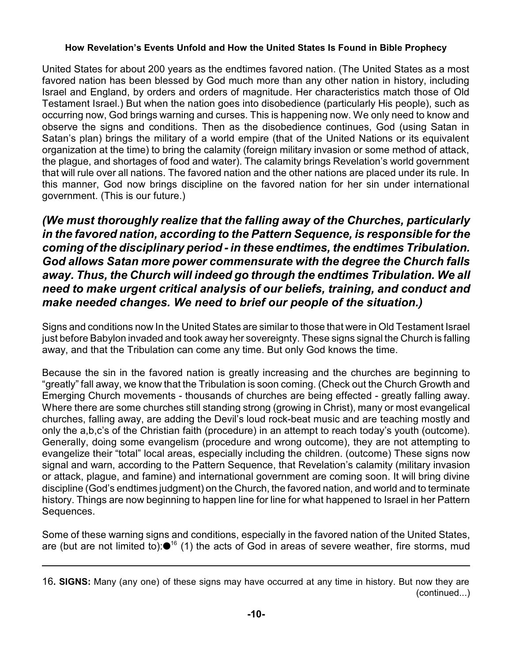United States for about 200 years as the endtimes favored nation. (The United States as a most favored nation has been blessed by God much more than any other nation in history, including Israel and England, by orders and orders of magnitude. Her characteristics match those of Old Testament Israel.) But when the nation goes into disobedience (particularly His people), such as occurring now, God brings warning and curses. This is happening now. We only need to know and observe the signs and conditions. Then as the disobedience continues, God (using Satan in Satan's plan) brings the military of a world empire (that of the United Nations or its equivalent organization at the time) to bring the calamity (foreign military invasion or some method of attack, the plague, and shortages of food and water). The calamity brings Revelation's world government that will rule over all nations. The favored nation and the other nations are placed under its rule. In this manner, God now brings discipline on the favored nation for her sin under international government. (This is our future.)

*(We must thoroughly realize that the falling away of the Churches, particularly in the favored nation, according to the Pattern Sequence, is responsible for the coming of the disciplinary period - in these endtimes, the endtimes Tribulation. God allows Satan more power commensurate with the degree the Church falls away. Thus, the Church will indeed go through the endtimes Tribulation. We all need to make urgent critical analysis of our beliefs, training, and conduct and make needed changes. We need to brief our people of the situation.)*

Signs and conditions now In the United States are similar to those that were in Old Testament Israel just before Babylon invaded and took away her sovereignty. These signs signal the Church is falling away, and that the Tribulation can come any time. But only God knows the time.

Because the sin in the favored nation is greatly increasing and the churches are beginning to "greatly" fall away, we know that the Tribulation is soon coming. (Check out the Church Growth and Emerging Church movements - thousands of churches are being effected - greatly falling away. Where there are some churches still standing strong (growing in Christ), many or most evangelical churches, falling away, are adding the Devil's loud rock-beat music and are teaching mostly and only the a,b,c's of the Christian faith (procedure) in an attempt to reach today's youth (outcome). Generally, doing some evangelism (procedure and wrong outcome), they are not attempting to evangelize their "total" local areas, especially including the children. (outcome) These signs now signal and warn, according to the Pattern Sequence, that Revelation's calamity (military invasion or attack, plague, and famine) and international government are coming soon. It will bring divine discipline (God's endtimes judgment) on the Church, the favored nation, and world and to terminate history. Things are now beginning to happen line for line for what happened to Israel in her Pattern Sequences.

Some of these warning signs and conditions, especially in the favored nation of the United States, are (but are not limited to): $\bullet$ <sup>16</sup> (1) the acts of God in areas of severe weather, fire storms, mud

<sup>16</sup>**. SIGNS:** Many (any one) of these signs may have occurred at any time in history. But now they are (continued...)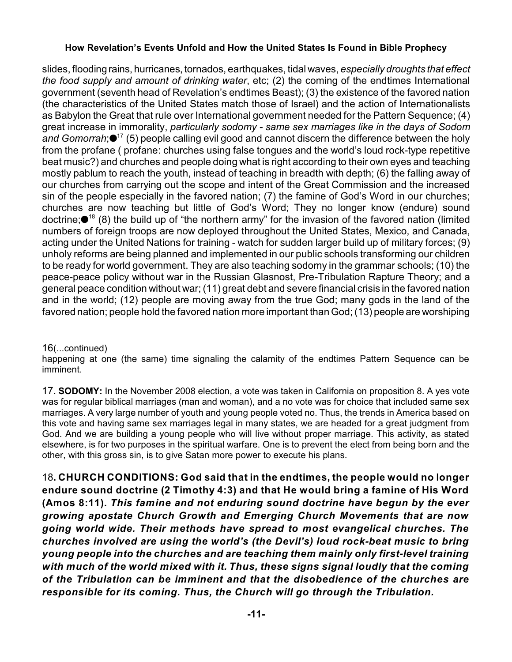slides, flooding rains, hurricanes, tornados, earthquakes, tidal waves, *especially droughts that effect the food supply and amount of drinking water*, etc; (2) the coming of the endtimes International government (seventh head of Revelation's endtimes Beast); (3) the existence of the favored nation (the characteristics of the United States match those of Israel) and the action of Internationalists as Babylon the Great that rule over International government needed for the Pattern Sequence; (4) great increase in immorality, *particularly sodomy - same sex marriages like in the days of Sodom* and *Gomorrah*;<sup>17</sup> (5) people calling evil good and cannot discern the difference between the holy from the profane ( profane: churches using false tongues and the world's loud rock-type repetitive beat music?) and churches and people doing what is right according to their own eyes and teaching mostly pablum to reach the youth, instead of teaching in breadth with depth; (6) the falling away of our churches from carrying out the scope and intent of the Great Commission and the increased sin of the people especially in the favored nation; (7) the famine of God's Word in our churches; churches are now teaching but little of God's Word; They no longer know (endure) sound doctrine; $\bullet$ <sup>18</sup> (8) the build up of "the northern army" for the invasion of the favored nation (limited numbers of foreign troops are now deployed throughout the United States, Mexico, and Canada, acting under the United Nations for training - watch for sudden larger build up of military forces; (9) unholy reforms are being planned and implemented in our public schools transforming our children to be ready for world government. They are also teaching sodomy in the grammar schools; (10) the peace-peace policy without war in the Russian Glasnost, Pre-Tribulation Rapture Theory; and a general peace condition without war; (11) great debt and severe financial crisis in the favored nation and in the world; (12) people are moving away from the true God; many gods in the land of the favored nation; people hold the favored nation more important than God; (13) people are worshiping

#### 16(...continued)

happening at one (the same) time signaling the calamity of the endtimes Pattern Sequence can be imminent.

17**. SODOMY:** In the November 2008 election, a vote was taken in California on proposition 8. A yes vote was for regular biblical marriages (man and woman), and a no vote was for choice that included same sex marriages. A very large number of youth and young people voted no. Thus, the trends in America based on this vote and having same sex marriages legal in many states, we are headed for a great judgment from God. And we are building a young people who will live without proper marriage. This activity, as stated elsewhere, is for two purposes in the spiritual warfare. One is to prevent the elect from being born and the other, with this gross sin, is to give Satan more power to execute his plans.

18**. CHURCH CONDITIONS: God said that in the endtimes, the people would no longer endure sound doctrine (2 Timothy 4:3) and that He would bring a famine of His Word (Amos 8:11).** *This famine and not enduring sound doctrine have begun by the ever growing apostate Church Growth and Emerging Church Movements that are now going world wide. Their methods have spread to most evangelical churches. The churches involved are using the world's (the Devil's) loud rock-beat music to bring young people into the churches and are teaching them mainly only first-level training with much of the world mixed with it. Thus, these signs signal loudly that the coming of the Tribulation can be imminent and that the disobedience of the churches are responsible for its coming. Thus, the Church will go through the Tribulation.*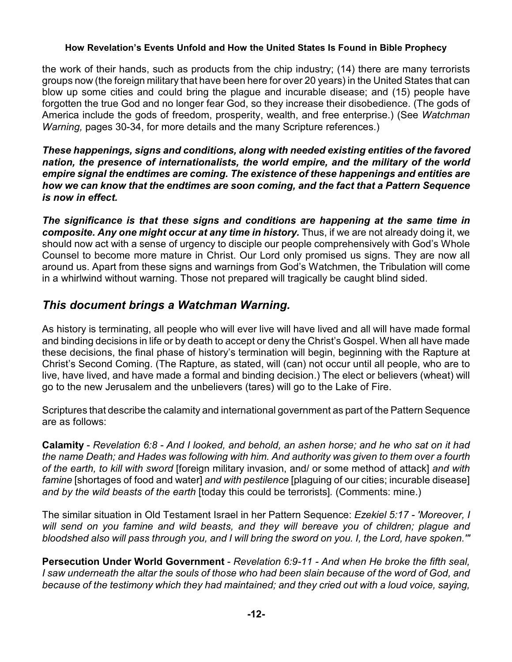the work of their hands, such as products from the chip industry; (14) there are many terrorists groups now (the foreign military that have been here for over 20 years) in the United States that can blow up some cities and could bring the plague and incurable disease; and (15) people have forgotten the true God and no longer fear God, so they increase their disobedience. (The gods of America include the gods of freedom, prosperity, wealth, and free enterprise.) (See *Watchman Warning,* pages 30-34, for more details and the many Scripture references.)

*These happenings, signs and conditions, along with needed existing entities of the favored nation, the presence of internationalists, the world empire, and the military of the world empire signal the endtimes are coming. The existence of these happenings and entities are how we can know that the endtimes are soon coming, and the fact that a Pattern Sequence is now in effect.* 

*The significance is that these signs and conditions are happening at the same time in composite. Any one might occur at any time in history.* Thus, if we are not already doing it, we should now act with a sense of urgency to disciple our people comprehensively with God's Whole Counsel to become more mature in Christ. Our Lord only promised us signs. They are now all around us. Apart from these signs and warnings from God's Watchmen, the Tribulation will come in a whirlwind without warning. Those not prepared will tragically be caught blind sided.

## *This document brings a Watchman Warning.*

As history is terminating, all people who will ever live will have lived and all will have made formal and binding decisions in life or by death to accept or deny the Christ's Gospel. When all have made these decisions, the final phase of history's termination will begin, beginning with the Rapture at Christ's Second Coming. (The Rapture, as stated, will (can) not occur until all people, who are to live, have lived, and have made a formal and binding decision.) The elect or believers (wheat) will go to the new Jerusalem and the unbelievers (tares) will go to the Lake of Fire.

Scriptures that describe the calamity and international government as part of the Pattern Sequence are as follows:

**Calamity** - *Revelation 6:8 - And I looked, and behold, an ashen horse; and he who sat on it had the name Death; and Hades was following with him. And authority was given to them over a fourth of the earth, to kill with sword* [foreign military invasion, and/ or some method of attack] *and with famine* [shortages of food and water] *and with pestilence* [plaguing of our cities; incurable disease] *and by the wild beasts of the earth* [today this could be terrorists]*.* (Comments: mine.)

The similar situation in Old Testament Israel in her Pattern Sequence: *Ezekiel 5:17 - 'Moreover, I will send on you famine and wild beasts, and they will bereave you of children; plague and bloodshed also will pass through you, and I will bring the sword on you. I, the Lord, have spoken.'"*

**Persecution Under World Government** - *Revelation 6:9-11 - And when He broke the fifth seal, I saw underneath the altar the souls of those who had been slain because of the word of God, and because of the testimony which they had maintained; and they cried out with a loud voice, saying,*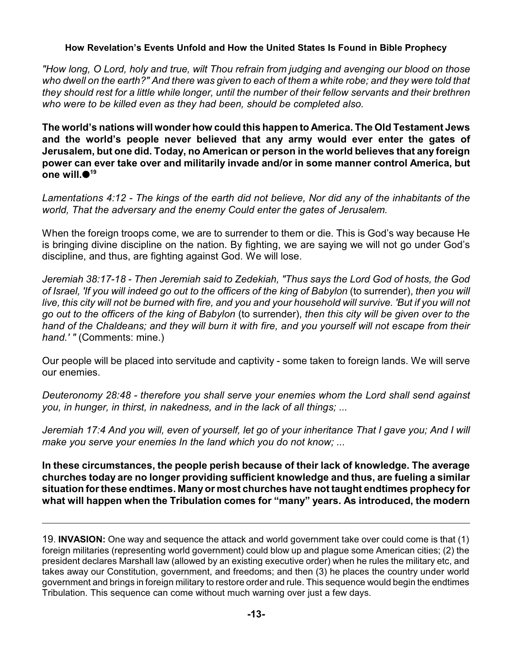*"How long, O Lord, holy and true, wilt Thou refrain from judging and avenging our blood on those who dwell on the earth?" And there was given to each of them a white robe; and they were told that they should rest for a little while longer, until the number of their fellow servants and their brethren who were to be killed even as they had been, should be completed also.*

**The world's nations will wonder how could this happen to America. The Old Testament Jews and the world's people never believed that any army would ever enter the gates of Jerusalem, but one did. Today, no American or person in the world believes that any foreign power can ever take over and militarily invade and/or in some manner control America, but one will. 19**

*Lamentations 4:12 - The kings of the earth did not believe, Nor did any of the inhabitants of the world, That the adversary and the enemy Could enter the gates of Jerusalem.*

When the foreign troops come, we are to surrender to them or die. This is God's way because He is bringing divine discipline on the nation. By fighting, we are saying we will not go under God's discipline, and thus, are fighting against God. We will lose.

*Jeremiah 38:17-18 - Then Jeremiah said to Zedekiah, "Thus says the Lord God of hosts, the God of Israel, 'If you will indeed go out to the officers of the king of Babylon* (to surrender), *then you will live, this city will not be burned with fire, and you and your household will survive. 'But if you will not go out to the officers of the king of Babylon* (to surrender), *then this city will be given over to the hand of the Chaldeans; and they will burn it with fire, and you yourself will not escape from their hand.' "* (Comments: mine.)

Our people will be placed into servitude and captivity - some taken to foreign lands. We will serve our enemies.

*Deuteronomy 28:48 - therefore you shall serve your enemies whom the Lord shall send against you, in hunger, in thirst, in nakedness, and in the lack of all things; ...*

*Jeremiah 17:4 And you will, even of yourself, let go of your inheritance That I gave you; And I will make you serve your enemies In the land which you do not know; ...*

**In these circumstances, the people perish because of their lack of knowledge. The average churches today are no longer providing sufficient knowledge and thus, are fueling a similar situation for these endtimes. Many or most churches have not taught endtimes prophecy for what will happen when the Tribulation comes for "many" years. As introduced, the modern**

<sup>19</sup>. **INVASION:** One way and sequence the attack and world government take over could come is that (1) foreign militaries (representing world government) could blow up and plague some American cities; (2) the president declares Marshall law (allowed by an existing executive order) when he rules the military etc, and takes away our Constitution, government, and freedoms; and then (3) he places the country under world government and brings in foreign military to restore order and rule. This sequence would begin the endtimes Tribulation. This sequence can come without much warning over just a few days.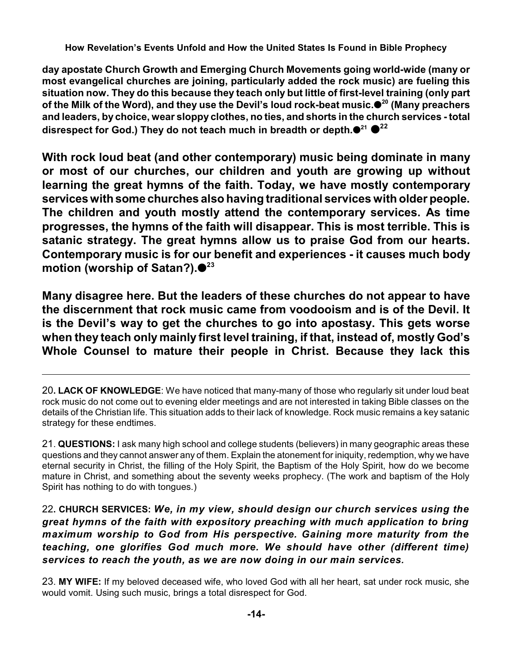**day apostate Church Growth and Emerging Church Movements going world-wide (many or most evangelical churches are joining, particularly added the rock music) are fueling this situation now. They do this because they teach only but little of first-level training (only part of the Milk of the Word), and they use the Devil's loud rock-beat music. (Many preachers <sup>20</sup> and leaders, by choice, wear sloppy clothes, no ties, and shorts in the church services - total disrespect for God.) They do not teach much in breadth or depth. <sup>21</sup> 22**

**With rock loud beat (and other contemporary) music being dominate in many or most of our churches, our children and youth are growing up without learning the great hymns of the faith. Today, we have mostly contemporary serviceswith some churches also having traditional services with older people. The children and youth mostly attend the contemporary services. As time progresses, the hymns of the faith will disappear. This is most terrible. This is satanic strategy. The great hymns allow us to praise God from our hearts. Contemporary music is for our benefit and experiences - it causes much body motion (worship of Satan?). 23**

**Many disagree here. But the leaders of these churches do not appear to have the discernment that rock music came from voodooism and is of the Devil. It is the Devil's way to get the churches to go into apostasy. This gets worse when they teach only mainly first level training, if that, instead of, mostly God's Whole Counsel to mature their people in Christ. Because they lack this**

21. **QUESTIONS:** I ask many high school and college students (believers) in many geographic areas these questions and they cannot answer any of them. Explain the atonement for iniquity, redemption, why we have eternal security in Christ, the filling of the Holy Spirit, the Baptism of the Holy Spirit, how do we become mature in Christ, and something about the seventy weeks prophecy. (The work and baptism of the Holy Spirit has nothing to do with tongues.)

22**. CHURCH SERVICES:** *We, in my view, should design our church services using the great hymns of the faith with expository preaching with much application to bring maximum worship to God from His perspective. Gaining more maturity from the teaching, one glorifies God much more. We should have other (different time) services to reach the youth, as we are now doing in our main services.*

23. **MY WIFE:** If my beloved deceased wife, who loved God with all her heart, sat under rock music, she would vomit. Using such music, brings a total disrespect for God.

<sup>20</sup>**. LACK OF KNOWLEDGE**: We have noticed that many-many of those who regularly sit under loud beat rock music do not come out to evening elder meetings and are not interested in taking Bible classes on the details of the Christian life. This situation adds to their lack of knowledge. Rock music remains a key satanic strategy for these endtimes.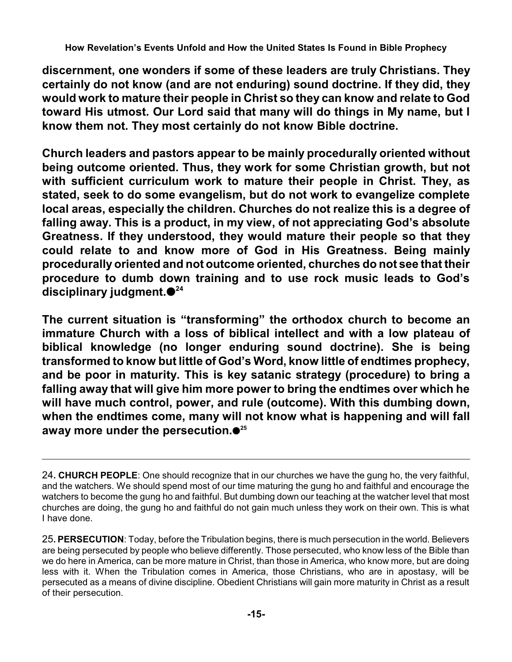**discernment, one wonders if some of these leaders are truly Christians. They certainly do not know (and are not enduring) sound doctrine. If they did, they would work to mature their people in Christ so they can know and relate to God toward His utmost. Our Lord said that many will do things in My name, but I know them not. They most certainly do not know Bible doctrine.**

**Church leaders and pastors appear to be mainly procedurally oriented without being outcome oriented. Thus, they work for some Christian growth, but not with sufficient curriculum work to mature their people in Christ. They, as stated, seek to do some evangelism, but do not work to evangelize complete local areas, especially the children. Churches do not realize this is a degree of falling away. This is a product, in my view, of not appreciating God's absolute Greatness. If they understood, they would mature their people so that they could relate to and know more of God in His Greatness. Being mainly procedurally oriented and not outcome oriented, churches do not see that their procedure to dumb down training and to use rock music leads to God's disciplinary judgment. 24**

**The current situation is "transforming" the orthodox church to become an immature Church with a loss of biblical intellect and with a low plateau of biblical knowledge (no longer enduring sound doctrine). She is being transformed to know but little of God's Word, know little of endtimes prophecy, and be poor in maturity. This is key satanic strategy (procedure) to bring a falling away that will give him more power to bring the endtimes over which he will have much control, power, and rule (outcome). With this dumbing down, when the endtimes come, many will not know what is happening and will fall away more under the persecution. 25**

<sup>24</sup>**. CHURCH PEOPLE**: One should recognize that in our churches we have the gung ho, the very faithful, and the watchers. We should spend most of our time maturing the gung ho and faithful and encourage the watchers to become the gung ho and faithful. But dumbing down our teaching at the watcher level that most churches are doing, the gung ho and faithful do not gain much unless they work on their own. This is what I have done.

<sup>25</sup>**. PERSECUTION**: Today, before the Tribulation begins, there is much persecution in the world. Believers are being persecuted by people who believe differently. Those persecuted, who know less of the Bible than we do here in America, can be more mature in Christ, than those in America, who know more, but are doing less with it. When the Tribulation comes in America, those Christians, who are in apostasy, will be persecuted as a means of divine discipline. Obedient Christians will gain more maturity in Christ as a result of their persecution.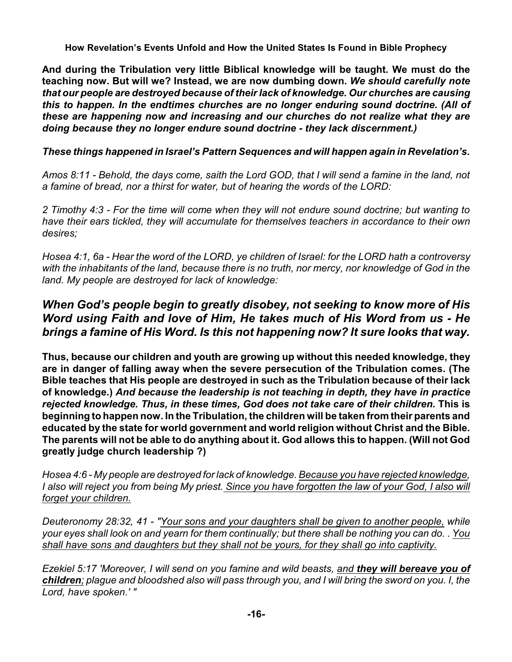**And during the Tribulation very little Biblical knowledge will be taught. We must do the teaching now. But will we? Instead, we are now dumbing down.** *We should carefully note that our people are destroyed because of their lack of knowledge. Our churches are causing this to happen. In the endtimes churches are no longer enduring sound doctrine. (All of these are happening now and increasing and our churches do not realize what they are doing because they no longer endure sound doctrine - they lack discernment.)*

### *These things happened in Israel's Pattern Sequences and will happen again in Revelation's.*

*Amos 8:11 - Behold, the days come, saith the Lord GOD, that I will send a famine in the land, not a famine of bread, nor a thirst for water, but of hearing the words of the LORD:*

*2 Timothy 4:3 - For the time will come when they will not endure sound doctrine; but wanting to have their ears tickled, they will accumulate for themselves teachers in accordance to their own desires;*

*Hosea 4:1, 6a - Hear the word of the LORD, ye children of Israel: for the LORD hath a controversy with the inhabitants of the land, because there is no truth, nor mercy, nor knowledge of God in the land. My people are destroyed for lack of knowledge:* 

## *When God's people begin to greatly disobey, not seeking to know more of His Word using Faith and love of Him, He takes much of His Word from us - He brings a famine of His Word. Is this not happening now? It sure looks that way.*

**Thus, because our children and youth are growing up without this needed knowledge, they are in danger of falling away when the severe persecution of the Tribulation comes. (The Bible teaches that His people are destroyed in such as the Tribulation because of their lack of knowledge.)** *And because the leadership is not teaching in depth, they have in practice rejected knowledge. Thus, in these times, God does not take care of their children.* **This is beginning to happen now. In the Tribulation, the children will be taken from their parents and educated by the state for world government and world religion without Christ and the Bible. The parents will not be able to do anything about it. God allows this to happen. (Will not God greatly judge church leadership ?)**

*Hosea 4:6 - My people are destroyed for lack of knowledge. Because you have rejected knowledge, I also will reject you from being My priest. Since you have forgotten the law of your God, I also will forget your children.*

*Deuteronomy 28:32, 41 - "Your sons and your daughters shall be given to another people, while your eyes shall look on and yearn for them continually; but there shall be nothing you can do.* . *You shall have sons and daughters but they shall not be yours, for they shall go into captivity.*

*Ezekiel 5:17 'Moreover, I will send on you famine and wild beasts, and they will bereave you of children; plague and bloodshed also will pass through you, and I will bring the sword on you. I, the Lord, have spoken.' "*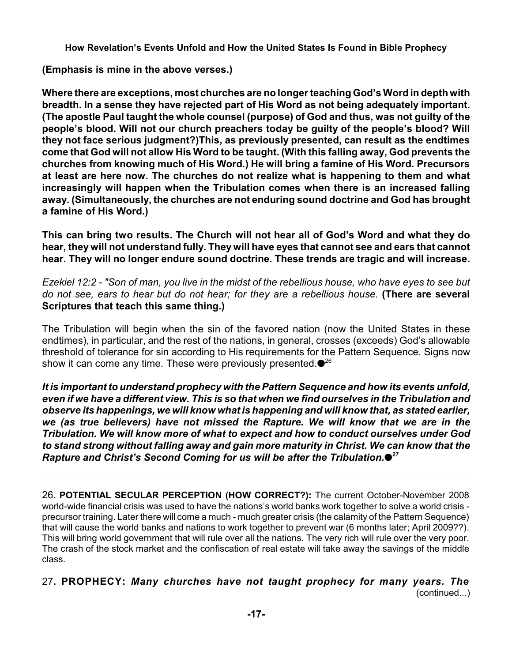**(Emphasis is mine in the above verses.)**

**Where there are exceptions, most churches are no longer teaching God's Word in depth with breadth. In a sense they have rejected part of His Word as not being adequately important. (The apostle Paul taught the whole counsel (purpose) of God and thus, was not guilty of the people's blood. Will not our church preachers today be guilty of the people's blood? Will they not face serious judgment?)This, as previously presented, can result as the endtimes come that God will not allow His Word to be taught. (With this falling away, God prevents the churches from knowing much of His Word.) He will bring a famine of His Word. Precursors at least are here now. The churches do not realize what is happening to them and what increasingly will happen when the Tribulation comes when there is an increased falling away. (Simultaneously, the churches are not enduring sound doctrine and God has brought a famine of His Word.)**

**This can bring two results. The Church will not hear all of God's Word and what they do hear, they will not understand fully. They will have eyes that cannot see and ears that cannot hear. They will no longer endure sound doctrine. These trends are tragic and will increase.**

*Ezekiel 12:2 - "Son of man, you live in the midst of the rebellious house, who have eyes to see but do not see, ears to hear but do not hear; for they are a rebellious house.* **(There are several Scriptures that teach this same thing.)**

The Tribulation will begin when the sin of the favored nation (now the United States in these endtimes), in particular, and the rest of the nations, in general, crosses (exceeds) God's allowable threshold of tolerance for sin according to His requirements for the Pattern Sequence. Signs now show it can come any time. These were previously presented. $\bullet^{26}$ 

*It is important to understand prophecy with the Pattern Sequence and how its events unfold, even if we have a different view. This is so that when we find ourselves in the Tribulation and observe its happenings, we will know what is happening and will know that, as stated earlier, we (as true believers) have not missed the Rapture. We will know that we are in the Tribulation. We will know more of what to expect and how to conduct ourselves under God to stand strong without falling away and gain more maturity in Christ. We can know that the Rapture and Christ's Second Coming for us will be after the Tribulation.* **27**

26**. POTENTIAL SECULAR PERCEPTION (HOW CORRECT?):** The current October-November 2008 world-wide financial crisis was used to have the nations's world banks work together to solve a world crisis precursor training. Later there will come a much - much greater crisis (the calamity of the Pattern Sequence) that will cause the world banks and nations to work together to prevent war (6 months later; April 2009??). This will bring world government that will rule over all the nations. The very rich will rule over the very poor. The crash of the stock market and the confiscation of real estate will take away the savings of the middle class.

27**. PROPHECY:** *Many churches have not taught prophecy for many years. The* (continued...)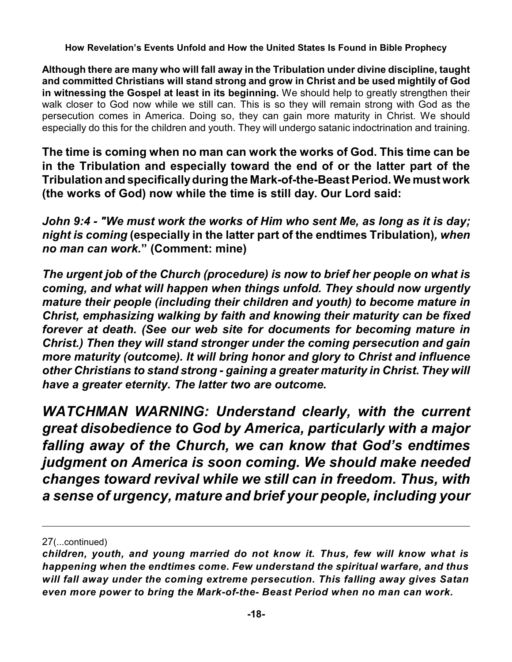**Although there are many who will fall away in the Tribulation under divine discipline, taught and committed Christians will stand strong and grow in Christ and be used mightily of God in witnessing the Gospel at least in its beginning.** We should help to greatly strengthen their walk closer to God now while we still can. This is so they will remain strong with God as the persecution comes in America. Doing so, they can gain more maturity in Christ. We should especially do this for the children and youth. They will undergo satanic indoctrination and training.

**The time is coming when no man can work the works of God. This time can be in the Tribulation and especially toward the end of or the latter part of the Tribulation and specificallyduring the Mark-of-the-Beast Period. We must work (the works of God) now while the time is still day. Our Lord said:**

*John 9:4 - "We must work the works of Him who sent Me, as long as it is day; night is coming* **(especially in the latter part of the endtimes Tribulation)***, when no man can work.***" (Comment: mine)**

*The urgent job of the Church (procedure) is now to brief her people on what is coming, and what will happen when things unfold. They should now urgently mature their people (including their children and youth) to become mature in Christ, emphasizing walking by faith and knowing their maturity can be fixed forever at death. (See our web site for documents for becoming mature in Christ.) Then they will stand stronger under the coming persecution and gain more maturity (outcome). It will bring honor and glory to Christ and influence other Christians to stand strong - gaining a greater maturity in Christ. They will have a greater eternity. The latter two are outcome.*

*WATCHMAN WARNING: Understand clearly, with the current great disobedience to God by America, particularly with a major falling away of the Church, we can know that God's endtimes judgment on America is soon coming. We should make needed changes toward revival while we still can in freedom. Thus, with a sense of urgency, mature and brief your people, including your*

<sup>27</sup>(...continued)

*children, youth, and young married do not know it. Thus, few will know what is happening when the endtimes come. Few understand the spiritual warfare, and thus will fall away under the coming extreme persecution. This falling away gives Satan even more power to bring the Mark-of-the- Beast Period when no man can work.*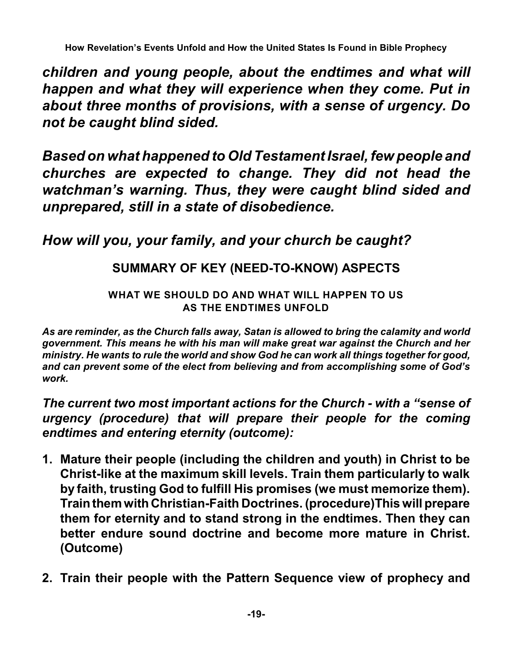*children and young people, about the endtimes and what will happen and what they will experience when they come. Put in about three months of provisions, with a sense of urgency. Do not be caught blind sided.*

*Based on what happened to Old Testament Israel, few people and churches are expected to change. They did not head the watchman's warning. Thus, they were caught blind sided and unprepared, still in a state of disobedience.* 

# *How will you, your family, and your church be caught?*

# **SUMMARY OF KEY (NEED-TO-KNOW) ASPECTS**

## **WHAT WE SHOULD DO AND WHAT WILL HAPPEN TO US AS THE ENDTIMES UNFOLD**

*As are reminder, as the Church falls away, Satan is allowed to bring the calamity and world government. This means he with his man will make great war against the Church and her ministry. He wants to rule the world and show God he can work all things together for good, and can prevent some of the elect from believing and from accomplishing some of God's work.*

*The current two most important actions for the Church - with a "sense of urgency (procedure) that will prepare their people for the coming endtimes and entering eternity (outcome):* 

- **1. Mature their people (including the children and youth) in Christ to be Christ-like at the maximum skill levels. Train them particularly to walk by faith, trusting God to fulfill His promises (we must memorize them). Trainthem with Christian-Faith Doctrines. (procedure)This will prepare them for eternity and to stand strong in the endtimes. Then they can better endure sound doctrine and become more mature in Christ. (Outcome)**
- **2. Train their people with the Pattern Sequence view of prophecy and**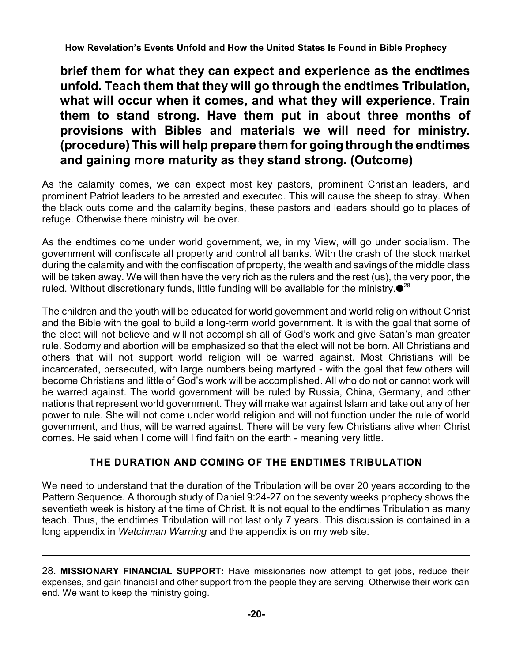**brief them for what they can expect and experience as the endtimes unfold. Teach them that they will go through the endtimes Tribulation, what will occur when it comes, and what they will experience. Train them to stand strong. Have them put in about three months of provisions with Bibles and materials we will need for ministry. (procedure) This will help prepare them for going through the endtimes and gaining more maturity as they stand strong. (Outcome)**

As the calamity comes, we can expect most key pastors, prominent Christian leaders, and prominent Patriot leaders to be arrested and executed. This will cause the sheep to stray. When the black outs come and the calamity begins, these pastors and leaders should go to places of refuge. Otherwise there ministry will be over.

As the endtimes come under world government, we, in my View, will go under socialism. The government will confiscate all property and control all banks. With the crash of the stock market during the calamity and with the confiscation of property, the wealth and savings of the middle class will be taken away. We will then have the very rich as the rulers and the rest (us), the very poor, the ruled. Without discretionary funds, little funding will be available for the ministry. $\bullet^{28}$ 

The children and the youth will be educated for world government and world religion without Christ and the Bible with the goal to build a long-term world government. It is with the goal that some of the elect will not believe and will not accomplish all of God's work and give Satan's man greater rule. Sodomy and abortion will be emphasized so that the elect will not be born. All Christians and others that will not support world religion will be warred against. Most Christians will be incarcerated, persecuted, with large numbers being martyred - with the goal that few others will become Christians and little of God's work will be accomplished. All who do not or cannot work will be warred against. The world government will be ruled by Russia, China, Germany, and other nations that represent world government. They will make war against Islam and take out any of her power to rule. She will not come under world religion and will not function under the rule of world government, and thus, will be warred against. There will be very few Christians alive when Christ comes. He said when I come will I find faith on the earth - meaning very little.

### **THE DURATION AND COMING OF THE ENDTIMES TRIBULATION**

We need to understand that the duration of the Tribulation will be over 20 years according to the Pattern Sequence. A thorough study of Daniel 9:24-27 on the seventy weeks prophecy shows the seventieth week is history at the time of Christ. It is not equal to the endtimes Tribulation as many teach. Thus, the endtimes Tribulation will not last only 7 years. This discussion is contained in a long appendix in *Watchman Warning* and the appendix is on my web site.

<sup>28</sup>**. MISSIONARY FINANCIAL SUPPORT:** Have missionaries now attempt to get jobs, reduce their expenses, and gain financial and other support from the people they are serving. Otherwise their work can end. We want to keep the ministry going.